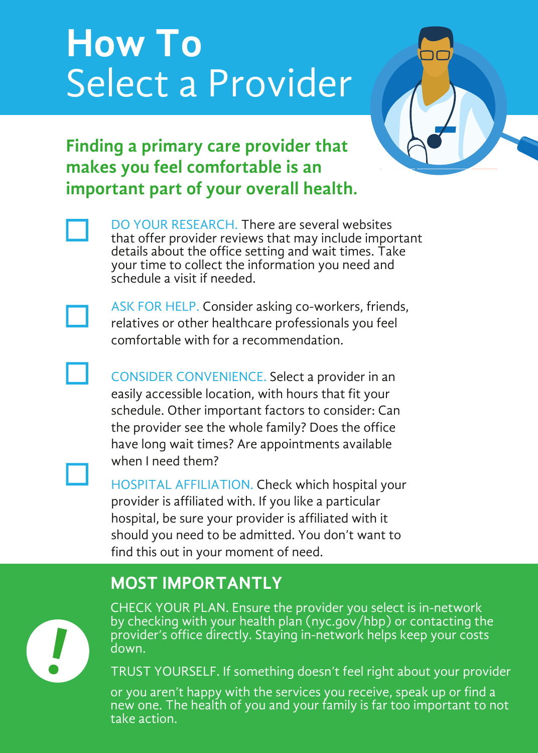## **How To** Select a Provider



## **Finding a primary care provider that makes you feel comfortable is an important part of your overall health.**

DO YOUR RESEARCH. There are several websites that offer provider reviews that may include important details about the office setting and wait times. Take your time to collect the information you need and schedule a visit if needed.



ASK FOR HELP. Consider asking co-workers, friends, relatives or other healthcare professionals you feel comfortable with for a recommendation.

CONSIDER CONVENIENCE. Select a provider in an easily accessible location, with hours that fit your schedule. Other important factors to consider: Can the provider see the whole family? Does the office have long wait times? Are appointments available when I need them?

HOSPITAL AFFILIATION. Check which hospital your provider is affiliated with. If you like a particular hospital, be sure your provider is affiliated with it should you need to be admitted. You don't want to find this out in your moment of need.

### **MOST IMPORTANTLY**



CHECK YOUR PLAN. Ensure the provider you select is in-network by checking with your health plan (nyc.gov/hbp) or contacting the provider's office directly. Staying in-network helps keep your costs down.

TRUST YOURSELF. If something doesn't feel right about your provider

or you aren't happy with the services you receive, speak up or find a new one. The health of you and your family is far too important to not take action.